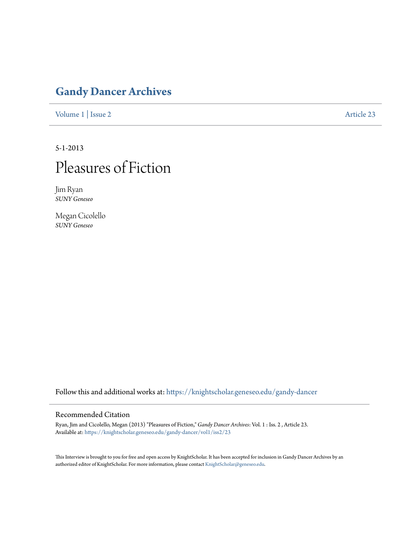### **[Gandy Dancer Archives](https://knightscholar.geneseo.edu/gandy-dancer?utm_source=knightscholar.geneseo.edu%2Fgandy-dancer%2Fvol1%2Fiss2%2F23&utm_medium=PDF&utm_campaign=PDFCoverPages)**

[Volume 1](https://knightscholar.geneseo.edu/gandy-dancer/vol1?utm_source=knightscholar.geneseo.edu%2Fgandy-dancer%2Fvol1%2Fiss2%2F23&utm_medium=PDF&utm_campaign=PDFCoverPages) | [Issue 2](https://knightscholar.geneseo.edu/gandy-dancer/vol1/iss2?utm_source=knightscholar.geneseo.edu%2Fgandy-dancer%2Fvol1%2Fiss2%2F23&utm_medium=PDF&utm_campaign=PDFCoverPages) [Article 23](https://knightscholar.geneseo.edu/gandy-dancer/vol1/iss2/23?utm_source=knightscholar.geneseo.edu%2Fgandy-dancer%2Fvol1%2Fiss2%2F23&utm_medium=PDF&utm_campaign=PDFCoverPages)

5-1-2013

## Pleasures of Fiction

Jim Ryan *SUNY Geneseo*

Megan Cicolello *SUNY Geneseo*

Follow this and additional works at: [https://knightscholar.geneseo.edu/gandy-dancer](https://knightscholar.geneseo.edu/gandy-dancer?utm_source=knightscholar.geneseo.edu%2Fgandy-dancer%2Fvol1%2Fiss2%2F23&utm_medium=PDF&utm_campaign=PDFCoverPages)

#### Recommended Citation

Ryan, Jim and Cicolello, Megan (2013) "Pleasures of Fiction," *Gandy Dancer Archives*: Vol. 1 : Iss. 2 , Article 23. Available at: [https://knightscholar.geneseo.edu/gandy-dancer/vol1/iss2/23](https://knightscholar.geneseo.edu/gandy-dancer/vol1/iss2/23?utm_source=knightscholar.geneseo.edu%2Fgandy-dancer%2Fvol1%2Fiss2%2F23&utm_medium=PDF&utm_campaign=PDFCoverPages)

This Interview is brought to you for free and open access by KnightScholar. It has been accepted for inclusion in Gandy Dancer Archives by an authorized editor of KnightScholar. For more information, please contact [KnightScholar@geneseo.edu](mailto:KnightScholar@geneseo.edu).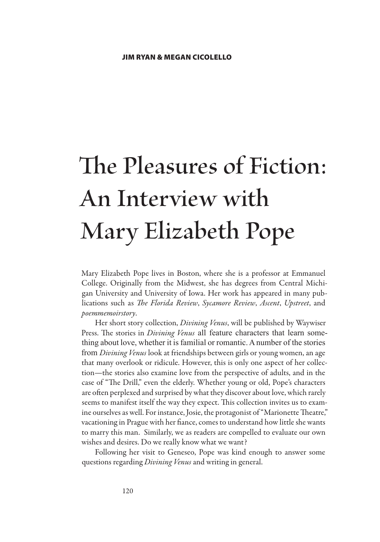# **The Pleasures of Fiction: An Interview with Mary Elizabeth Pope**

Mary Elizabeth Pope lives in Boston, where she is a professor at Emmanuel College. Originally from the Midwest, she has degrees from Central Michigan University and University of Iowa. Her work has appeared in many publications such as *The Florida Review*, *Sycamore Review*, *Ascent*, *Upstreet*, and *poemmemoirstory*.

Her short story collection, *Divining Venus*, will be published by Waywiser Press. The stories in *Divining Venus* all feature characters that learn something about love, whether it is familial or romantic. A number of the stories from *Divining Venus* look at friendships between girls or young women, an age that many overlook or ridicule. However, this is only one aspect of her collection—the stories also examine love from the perspective of adults, and in the case of "The Drill," even the elderly. Whether young or old, Pope's characters are often perplexed and surprised by what they discover about love, which rarely seems to manifest itself the way they expect. This collection invites us to examine ourselves as well. For instance, Josie, the protagonist of "Marionette Theatre," vacationing in Prague with her fiance, comes to understand how little she wants to marry this man. Similarly, we as readers are compelled to evaluate our own wishes and desires. Do we really know what we want?

Following her visit to Geneseo, Pope was kind enough to answer some questions regarding *Divining Venus* and writing in general.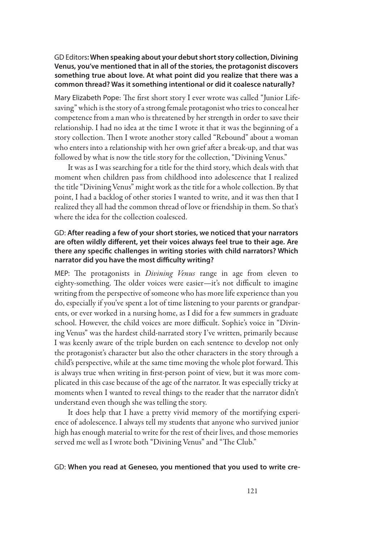#### GD Editors**: When speaking about your debut short story collection, Divining Venus, you've mentioned that in all of the stories, the protagonist discovers something true about love. At what point did you realize that there was a common thread? Was it something intentional or did it coalesce naturally?**

Mary Elizabeth Pope: The first short story I ever wrote was called "Junior Lifesaving" which is the story of a strong female protagonist who tries to conceal her competence from a man who is threatened by her strength in order to save their relationship. I had no idea at the time I wrote it that it was the beginning of a story collection. Then I wrote another story called "Rebound" about a woman who enters into a relationship with her own grief after a break-up, and that was followed by what is now the title story for the collection, "Divining Venus."

It was as I was searching for a title for the third story, which deals with that moment when children pass from childhood into adolescence that I realized the title "Divining Venus" might work as the title for a whole collection. By that point, I had a backlog of other stories I wanted to write, and it was then that I realized they all had the common thread of love or friendship in them. So that's where the idea for the collection coalesced.

#### GD: **After reading a few of your short stories, we noticed that your narrators are often wildly different, yet their voices always feel true to their age. Are there any specific challenges in writing stories with child narrators? Which narrator did you have the most difficulty writing?**

MEP: The protagonists in *Divining Venus* range in age from eleven to eighty-something. The older voices were easier—it's not difficult to imagine writing from the perspective of someone who has more life experience than you do, especially if you've spent a lot of time listening to your parents or grandparents, or ever worked in a nursing home, as I did for a few summers in graduate school. However, the child voices are more difficult. Sophie's voice in "Divining Venus" was the hardest child-narrated story I've written, primarily because I was keenly aware of the triple burden on each sentence to develop not only the protagonist's character but also the other characters in the story through a child's perspective, while at the same time moving the whole plot forward. This is always true when writing in first-person point of view, but it was more complicated in this case because of the age of the narrator. It was especially tricky at moments when I wanted to reveal things to the reader that the narrator didn't understand even though she was telling the story.

It does help that I have a pretty vivid memory of the mortifying experience of adolescence. I always tell my students that anyone who survived junior high has enough material to write for the rest of their lives, and those memories served me well as I wrote both "Divining Venus" and "The Club."

#### GD: **When you read at Geneseo, you mentioned that you used to write cre-**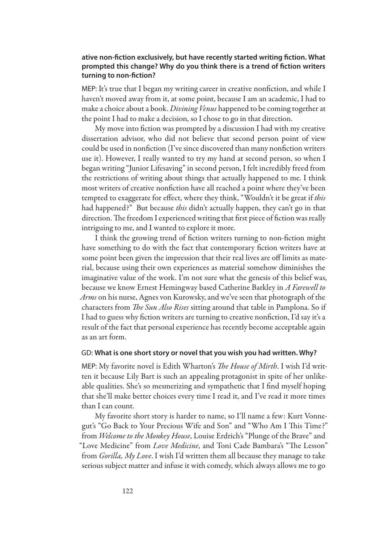#### **ative non-fiction exclusively, but have recently started writing fiction. What prompted this change? Why do you think there is a trend of fiction writers turning to non-fiction?**

MEP: It's true that I began my writing career in creative nonfiction, and while I haven't moved away from it, at some point, because I am an academic, I had to make a choice about a book. *Divining Venus* happened to be coming together at the point I had to make a decision, so I chose to go in that direction.

My move into fiction was prompted by a discussion I had with my creative dissertation advisor, who did not believe that second person point of view could be used in nonfiction (I've since discovered than many nonfiction writers use it). However, I really wanted to try my hand at second person, so when I began writing "Junior Lifesaving" in second person, I felt incredibly freed from the restrictions of writing about things that actually happened to me. I think most writers of creative nonfiction have all reached a point where they've been tempted to exaggerate for effect, where they think, "Wouldn't it be great if *this* had happened?" But because *this* didn't actually happen, they can't go in that direction. The freedom I experienced writing that first piece of fiction was really intriguing to me, and I wanted to explore it more.

I think the growing trend of fiction writers turning to non-fiction might have something to do with the fact that contemporary fiction writers have at some point been given the impression that their real lives are off limits as material, because using their own experiences as material somehow diminishes the imaginative value of the work. I'm not sure what the genesis of this belief was, because we know Ernest Hemingway based Catherine Barkley in *A Farewell to Arms* on his nurse, Agnes von Kurowsky, and we've seen that photograph of the characters from *The Sun Also Rises* sitting around that table in Pamplona. So if I had to guess why fiction writers are turning to creative nonfiction, I'd say it's a result of the fact that personal experience has recently become acceptable again as an art form.

#### GD: **What is one short story or novel that you wish you had written. Why?**

MEP: My favorite novel is Edith Wharton's *The House of Mirth*. I wish I'd written it because Lily Bart is such an appealing protagonist in spite of her unlikeable qualities. She's so mesmerizing and sympathetic that I find myself hoping that she'll make better choices every time I read it, and I've read it more times than I can count.

My favorite short story is harder to name, so I'll name a few: Kurt Vonnegut's "Go Back to Your Precious Wife and Son" and "Who Am I This Time?" from *Welcome to the Monkey House*, Louise Erdrich's "Plunge of the Brave" and "Love Medicine" from *Love Medicine*, and Toni Cade Bambara's "The Lesson" from *Gorilla, My Love*. I wish I'd written them all because they manage to take serious subject matter and infuse it with comedy, which always allows me to go